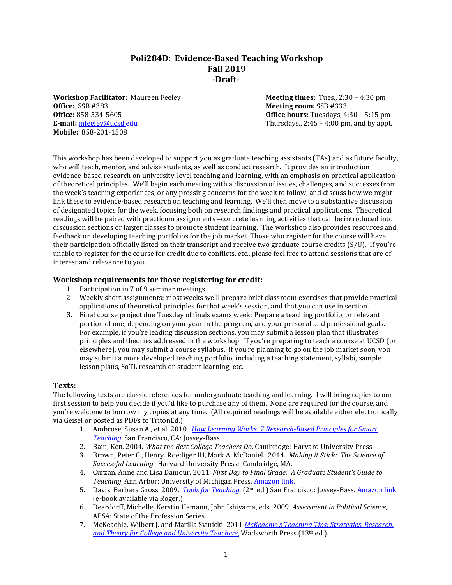# **Poli284D: Evidence-Based Teaching Workshop Fall 2019 -Draft-**

**Workshop Facilitator:** Maureen Feeley **Meeting times:** Tues., 2:30 – 4:30 pm<br> **Office:** SSB #383<br> **Meeting room:** SSB #333 **Office:** 858-534-5605 **Office hours:** Tuesdays, 4:30 – 5:15 pm **E-mail:** [mfeeley@ucsd.edu](mailto:mfeeley@ucsd.edu) Thursdays., 2:45 – 4:00 pm, and by appt. **Mobile:** 858-201-1508

**Office:** SSB #383 **Meeting room:** SSB #333

This workshop has been developed to support you as graduate teaching assistants (TAs) and as future faculty, who will teach, mentor, and advise students, as well as conduct research. It provides an introduction evidence-based research on university-level teaching and learning, with an emphasis on practical application of theoretical principles. We'll begin each meeting with a discussion of issues, challenges, and successes from the week's teaching experiences, or any pressing concerns for the week to follow, and discuss how we might link these to evidence-based research on teaching and learning. We'll then move to a substantive discussion of designated topics for the week, focusing both on research findings and practical applications. Theoretical readings will be paired with practicum assignments –concrete learning activities that can be introduced into discussion sections or larger classes to promote student learning. The workshop also provides resources and feedback on developing teaching portfolios for the job market. Those who register for the course will have their participation officially listed on their transcript and receive two graduate course credits (S/U). If you're unable to register for the course for credit due to conflicts, etc., please feel free to attend sessions that are of interest and relevance to you.

# **Workshop requirements for those registering for credit:**

- 1. Participation in 7 of 9 seminar meetings.
- 2. Weekly short assignments: most weeks we'll prepare brief classroom exercises that provide practical applications of theoretical principles for that week's session, and that you can use in section.
- **3.** Final course project due Tuesday of finals exams week: Prepare a teaching portfolio, or relevant portion of one, depending on your year in the program, and your personal and professional goals. For example, if you're leading discussion sections, you may submit a lesson plan that illustrates principles and theories addressed in the workshop. If you're preparing to teach a course at UCSD (or elsewhere), you may submit a course syllabus. If you're planning to go on the job market soon, you may submit a more developed teaching portfolio, including a teaching statement, syllabi, sample lesson plans, SoTL research on student learning, etc.

# **Texts:**

The following texts are classic references for undergraduate teaching and learning. I will bring copies to our first session to help you decide if you'd like to purchase any of them. None are required for the course, and you're welcome to borrow my copies at any time. (All required readings will be available either electronically via Geisel or posted as PDFs to TritonEd.)

- 1. Ambrose, Susan A., et al. 2010. *[How Learning Works: 7 Research-Based Principles for Smart](http://roger.ucsd.edu/search/a?searchtype=t&searcharg=How+Learning+Works%3A+Seven&searchscope=9&SORT=D&Search=Search)  [Teaching](http://roger.ucsd.edu/search/a?searchtype=t&searcharg=How+Learning+Works%3A+Seven&searchscope=9&SORT=D&Search=Search)*. San Francisco, CA: Jossey-Bass.
- 2. Bain, Ken. 2004. *What the Best College Teachers Do*. Cambridge: Harvard University Press.
- 3. Brown, Peter C., Henry. Roediger III, Mark A. McDaniel. 2014. *Making it Stick: The Science of Successful Learning*. Harvard University Press: Cambridge, MA.
- 4. Curzan, Anne and Lisa Damour. 2011. *First Day to Final Grade: A Graduate Student's Guide to Teaching*, Ann Arbor: University of Michigan Press[. Amazon link.](http://www.amazon.com/First-Final-Grade-Third-Edition/dp/0472034510)
- 5. Davis, Barbara Gross. 2009. *[Tools for Teaching.](http://roger.ucsd.edu/search~S9?/tTools+for+teaching/ttools+for+teaching/1%2C2%2C5%2CE/2exact&FF=ttools+for+teaching&1%2C3%2C/indexsort=-)* (2nd ed.) San Francisco: Jossey-Bass. [Amazon link.](http://www.amazon.com/Tools-Teaching-Barbara-Gross-Davis/dp/0787965677/ref=ntt_at_ep_dpt_1) (e-book available via Roger.)
- 6. Deardorff, Michelle, Kerstin Hamann, John Ishiyama, eds. 2009. *Assessment in Political Science*, APSA: State of the Profession Series.
- 7. McKeachie, Wilbert J. and Marilla Svinicki. 2011 *[McKeachie's Teaching Tips: Strategies, Research,](http://reserves.ucsd.edu/eres/default.aspx)  [and Theory for College and University Teachers](http://reserves.ucsd.edu/eres/default.aspx)*, Wadsworth Press (13th ed.).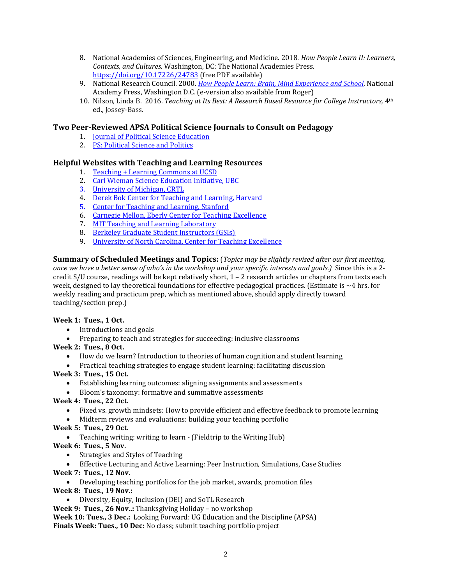- 8. National Academies of Sciences, Engineering, and Medicine. 2018. *How People Learn II: Learners, Contexts, and Cultures.* Washington, DC: The National Academies Press. <https://doi.org/10.17226/24783> (free PDF available)
- 9. National Research Council. 2000. *[How People Learn: Brain, Mind Experience and School.](http://roger.ucsd.edu/search~S9/?searchtype=t&searcharg=How+People+Learn%3A+Brain%2C+Mind+Experience+and+School&searchscope=9&sortdropdown=-&SORT=D&extended=1&SUBMIT=Search&searchlimits=&searchorigarg=tTools+for+teaching)* National Academy Press, Washington D.C. (e-version also available from Roger)
- 10. Nilson, Linda B. 2016. *Teaching at Its Best: A Research Based Resource for College Instructors,* 4th ed., Jossey-Bass.

# **Two Peer-Reviewed APSA Political Science Journals to Consult on Pedagogy**

- 1. [Journal of Political Science Education](http://www.tandfonline.com/loi/upse20)
- 2. [PS: Political Science and Politics](http://journals.cambridge.org/action/displayJournal?jid=PSC)

# **Helpful Websites with Teaching and Learning Resources**

- 1. [Teaching + Learning Commons at UCSD](http://commons.ucsd.edu/)
- 2. [Carl Wieman Science Education Initiative, UBC](http://www.cwsei.ubc.ca/)
- 3. [University of Michigan, CRTL](http://www.crlt.umich.edu/)
- 4. [Derek Bok Center for Teaching and Learning, Harvard](http://bokcenter.harvard.edu/)
- 5. [Center for Teaching and Learning, Stanford](https://web.stanford.edu/dept/registrar/bulletin0809/5077.htm)
- 6. [Carnegie Mellon, Eberly Center for Teaching Excellence](http://www.cmu.edu/teaching/index.html)
- 7. [MIT Teaching and Learning Laboratory](http://tll.mit.edu/)
- 8. [Berkeley Graduate Student Instructors \(GSIs\)](http://gsi.berkeley.edu/)
- 9. [University of North Carolina, Center for Teaching Excellence](https://cfe.unc.edu/teaching-and-learning/)

**Summary of Scheduled Meetings and Topics:** (*Topics may be slightly revised after our first meeting, once we have a better sense of who's in the workshop and your specific interests and goals.)* Since this is a 2 credit S/U course, readings will be kept relatively short, 1 – 2 research articles or chapters from texts each week, designed to lay theoretical foundations for effective pedagogical practices. (Estimate is ~4 hrs. for weekly reading and practicum prep, which as mentioned above, should apply directly toward teaching/section prep.)

### **Week 1: Tues., 1 Oct.**

- Introductions and goals
- Preparing to teach and strategies for succeeding: inclusive classrooms

# **Week 2: Tues., 8 Oct.**

- How do we learn? Introduction to theories of human cognition and student learning
- Practical teaching strategies to engage student learning: facilitating discussion
- **Week 3: Tues., 15 Oct.**
	- Establishing learning outcomes: aligning assignments and assessments
	- Bloom's taxonomy: formative and summative assessments
- **Week 4: Tues., 22 Oct.**
	- Fixed vs. growth mindsets: How to provide efficient and effective feedback to promote learning
	- Midterm reviews and evaluations: building your teaching portfolio
- **Week 5: Tues., 29 Oct.**

• Teaching writing: writing to learn - (Fieldtrip to the Writing Hub)

- **Week 6: Tues., 5 Nov.**
	- Strategies and Styles of Teaching

• Effective Lecturing and Active Learning: Peer Instruction, Simulations, Case Studies

**Week 7: Tues., 12 Nov.**

• Developing teaching portfolios for the job market, awards, promotion files **Week 8: Tues., 19 Nov.:** 

- Diversity, Equity, Inclusion (DEI) and SoTL Research
- **Week 9: Tues., 26 Nov..:** Thanksgiving Holiday no workshop

**Week 10: Tues., 3 Dec.:** Looking Forward: UG Education and the Discipline (APSA)

**Finals Week: Tues., 10 Dec:** No class; submit teaching portfolio project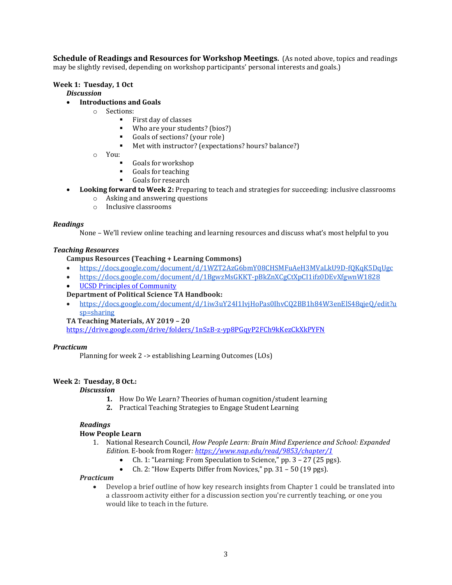**Schedule of Readings and Resources for Workshop Meetings.** (As noted above, topics and readings may be slightly revised, depending on workshop participants' personal interests and goals.)

### **Week 1: Tuesday, 1 Oct**

*Discussion*

- **Introductions and Goals** 
	- o Sections:
		- First day of classes
		- Who are your students? (bios?)
		- Goals of sections? (your role)
		- Met with instructor? (expectations? hours? balance?)
	- o You:
		- Goals for workshop
		- Goals for teaching
		- Goals for research
- **Looking forward to Week 2:** Preparing to teach and strategies for succeeding: inclusive classrooms
	- o Asking and answering questions
	- o Inclusive classrooms

#### *Readings*

None – We'll review online teaching and learning resources and discuss what's most helpful to you

#### *Teaching Resources*

# **Campus Resources (Teaching + Learning Commons)**

- <https://docs.google.com/document/d/1WZT2AzG6bmY08CHSMFuAeH3MVaLkU9D-fQKqK5DqUgc>
- <https://docs.google.com/document/d/1BgwzMsGKKT-pBkZnXCgCtXpCI1ifz0DEvXfgwnW1828>
- [UCSD Principles of Community](http://www.ucsd.edu/explore/about/principles.html)

#### **Department of Political Science TA Handbook:**

• [https://docs.google.com/document/d/1iw3uY24I1IvjHoPas0IhvCQ2BB1h84W3enElS48qjeQ/edit?u](https://docs.google.com/document/d/1iw3uY24I1IvjHoPas0IhvCQ2BB1h84W3enElS48qjeQ/edit?usp=sharing) [sp=sharing](https://docs.google.com/document/d/1iw3uY24I1IvjHoPas0IhvCQ2BB1h84W3enElS48qjeQ/edit?usp=sharing)

**TA Teaching Materials, AY 2019 – 20**

<https://drive.google.com/drive/folders/1nSzB-z-yp8PGqyP2FCh9kKezCkXkPYFN>

#### *Practicum*

Planning for week 2 -> establishing Learning Outcomes (LOs)

### **Week 2: Tuesday, 8 Oct.:**

#### *Discussion*

- **1.** How Do We Learn? Theories of human cognition/student learning
- **2.** Practical Teaching Strategies to Engage Student Learning

### *Readings*

#### **How People Learn**

- 1. National Research Council, *How People Learn: Brain Mind Experience and School: Expanded Edition.* E-book from Roger*: <https://www.nap.edu/read/9853/chapter/1>*
	- Ch. 1: "Learning: From Speculation to Science," pp. 3 27 (25 pgs).
	- Ch. 2: "How Experts Differ from Novices," pp. 31 50 (19 pgs).

#### *Practicum*

• Develop a brief outline of how key research insights from Chapter 1 could be translated into a classroom activity either for a discussion section you're currently teaching, or one you would like to teach in the future.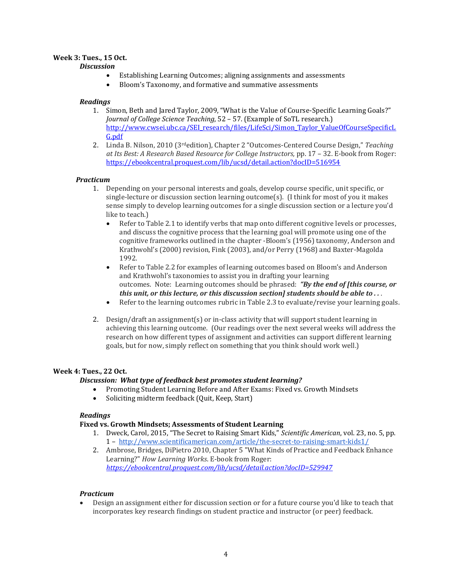# **Week 3: Tues., 15 Oct.**

### *Discussion*

- Establishing Learning Outcomes; aligning assignments and assessments
- Bloom's Taxonomy, and formative and summative assessments

### *Readings*

- 1. Simon, Beth and Jared Taylor, 2009, "What is the Value of Course-Specific Learning Goals?" *Journal of College Science Teaching*, 52 – 57. (Example of SoTL research.) [http://www.cwsei.ubc.ca/SEI\\_research/files/LifeSci/Simon\\_Taylor\\_ValueOfCourseSpecificL](http://www.cwsei.ubc.ca/SEI_research/files/LifeSci/Simon_Taylor_ValueOfCourseSpecificLG.pdf) [G.pdf](http://www.cwsei.ubc.ca/SEI_research/files/LifeSci/Simon_Taylor_ValueOfCourseSpecificLG.pdf)
- 2. Linda B. Nilson, 2010 (3rdedition), Chapter 2 "Outcomes-Centered Course Design," *Teaching at Its Best: A Research Based Resource for College Instructors,* pp. 17 – 32. E-book from Roger: <https://ebookcentral.proquest.com/lib/ucsd/detail.action?docID=516954>

### *Practicum*

- 1. Depending on your personal interests and goals, develop course specific, unit specific, or single-lecture or discussion section learning outcome(s). (I think for most of you it makes sense simply to develop learning outcomes for a single discussion section or a lecture you'd like to teach.)
	- Refer to Table 2.1 to identify verbs that map onto different cognitive levels or processes, and discuss the cognitive process that the learning goal will promote using one of the cognitive frameworks outlined in the chapter -Bloom's (1956) taxonomy, Anderson and Krathwohl's (2000) revision, Fink (2003), and/or Perry (1968) and Baxter-Magolda 1992.
	- Refer to Table 2.2 for examples of learning outcomes based on Bloom's and Anderson and Krathwohl's taxonomies to assist you in drafting your learning outcomes. Note: Learning outcomes should be phrased: *"By the end of [this course, or this unit, or this lecture, or this discussion section] students should be able to . . .*
	- Refer to the learning outcomes rubric in Table 2.3 to evaluate/revise your learning goals.
- 2. Design/draft an assignment(s) or in-class activity that will support student learning in achieving this learning outcome. (Our readings over the next several weeks will address the research on how different types of assignment and activities can support different learning goals, but for now, simply reflect on something that you think should work well.)

### **Week 4: Tues., 22 Oct.**

# *Discussion: What type of feedback best promotes student learning?*

- Promoting Student Learning Before and After Exams: Fixed vs. Growth Mindsets
- Soliciting midterm feedback (Quit, Keep, Start)

### *Readings*

# **Fixed vs. Growth Mindsets; Assessments of Student Learning**

- 1. Dweck, Carol, 2015, "The Secret to Raising Smart Kids," *Scientific American*, vol. 23, no. 5, pp. 1 – <http://www.scientificamerican.com/article/the-secret-to-raising-smart-kids1/>
- 2. Ambrose, Bridges, DiPietro 2010, Chapter 5 "What Kinds of Practice and Feedback Enhance Learning?" *How Learning Works*. E-book from Roger: *<https://ebookcentral.proquest.com/lib/ucsd/detail.action?docID=529947>*

### *Practicum*

• Design an assignment either for discussion section or for a future course you'd like to teach that incorporates key research findings on student practice and instructor (or peer) feedback.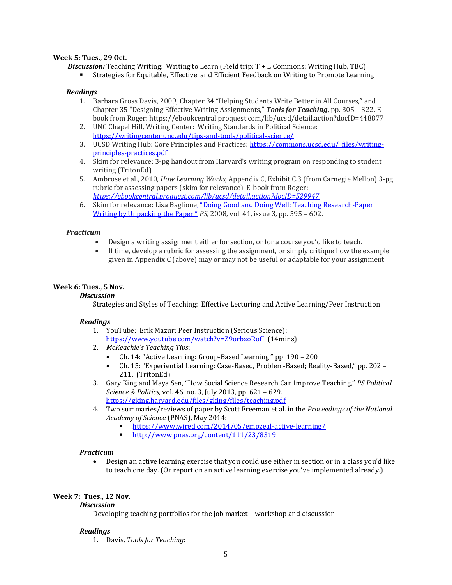### **Week 5: Tues., 29 Oct.**

 *Discussion:* Teaching Writing: Writing to Learn (Field trip: T + L Commons: Writing Hub, TBC)

Strategies for Equitable, Effective, and Efficient Feedback on Writing to Promote Learning

#### *Readings*

- 1. Barbara Gross Davis, 2009, Chapter 34 "Helping Students Write Better in All Courses," and Chapter 35 "Designing Effective Writing Assignments," *Tools for Teaching*, pp. 305 – 322. Ebook from Roger: https://ebookcentral.proquest.com/lib/ucsd/detail.action?docID=448877
- 2. UNC Chapel Hill, Writing Center: Writing Standards in Political Science: <https://writingcenter.unc.edu/tips-and-tools/political-science/>
- 3. UCSD Writing Hub: Core Principles and Practices: https://commons.ucsd.edu/ files/writing[principles-practices.pdf](https://commons.ucsd.edu/_files/writing-principles-practices.pdf)
- 4. Skim for relevance: 3-pg handout from Harvard's writing program on responding to student writing (TritonEd)
- 5. Ambrose et al., 2010, *How Learning Works,* Appendix C, Exhibit C.3 (from Carnegie Mellon) 3-pg rubric for assessing papers (skim for relevance). E-book from Roger: *<https://ebookcentral.proquest.com/lib/ucsd/detail.action?docID=529947>*
- 6. Skim for relevance: Lisa Baglione, "Doing Good [and Doing Well: Teaching Research-Paper](http://journals.cambridge.org/action/displayFulltext?type=1&fid=1905732&jid=PSC&volumeId=41&issueId=03&aid=1905724)  [Writing by Unpacking the Paper,"](http://journals.cambridge.org/action/displayFulltext?type=1&fid=1905732&jid=PSC&volumeId=41&issueId=03&aid=1905724) *PS,* 2008, vol. 41, issue 3, pp. 595 – 602.

#### *Practicum*

- Design a writing assignment either for section, or for a course you'd like to teach.
- If time, develop a rubric for assessing the assignment, or simply critique how the example given in Appendix C (above) may or may not be useful or adaptable for your assignment.

### **Week 6: Tues., 5 Nov.**

#### *Discussion*

Strategies and Styles of Teaching: Effective Lecturing and Active Learning/Peer Instruction

#### *Readings*

- 1. YouTube: Erik Mazur: Peer Instruction (Serious Science): <https://www.youtube.com/watch?v=Z9orbxoRofI>(14mins)
- 2. *McKeachie's Teaching Tips*:
	- Ch. 14: "Active Learning: Group-Based Learning," pp. 190 200
	- Ch. 15: "Experiential Learning: Case-Based, Problem-Based; Reality-Based," pp. 202 211. (TritonEd)
- 3. Gary King and Maya Sen, "How Social Science Research Can Improve Teaching," *PS Political Science & Politics*, vol. 46, no. 3, July 2013, pp. 621 – 629. <https://gking.harvard.edu/files/gking/files/teaching.pdf>
- 4. Two summaries/reviews of paper by Scott Freeman et al. in the *Proceedings of the National Academy of Science* (PNAS), May 2014:
	- <https://www.wired.com/2014/05/empzeal-active-learning/>
	- <http://www.pnas.org/content/111/23/8319>

#### *Practicum*

• Design an active learning exercise that you could use either in section or in a class you'd like to teach one day. (Or report on an active learning exercise you've implemented already.)

### **Week 7: Tues., 12 Nov.**

### *Discussion*

Developing teaching portfolios for the job market – workshop and discussion

# *Readings*

1. Davis, *Tools for Teaching*: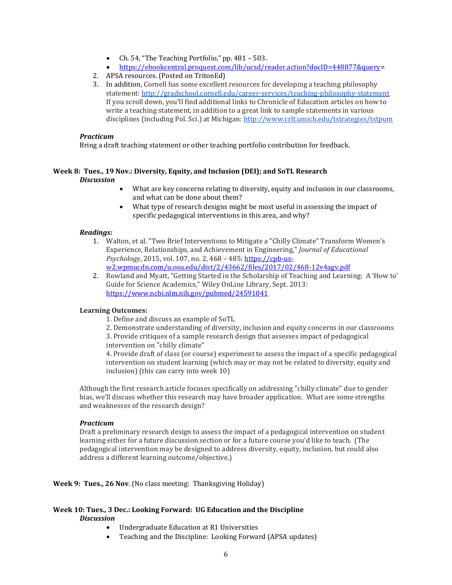- Ch. 54, "The Teaching Portfolio," pp. 481 503.
- [https://ebookcentral.proquest.com/lib/ucsd/reader.action?docID=448877&query=](https://ebookcentral.proquest.com/lib/ucsd/reader.action?docID=448877&query)
- 2. APSA resources. (Posted on TritonEd)
- 3. In addition, Cornell has some excellent resources for developing a teaching philosophy statement:<http://gradschool.cornell.edu/career-services/teaching-philosophy-statement> If you scroll down, you'll find additional links to Chronicle of Education articles on how to write a teaching statement, in addition to a great link to sample statements in various disciplines (including Pol. Sci.) at Michigan:<http://www.crlt.umich.edu/tstrategies/tstpum>

#### *Practicum*

Bring a draft teaching statement or other teaching portfolio contribution for feedback.

# **Week 8: Tues., 19 Nov.: Diversity, Equity, and Inclusion (DEI); and SoTL Research**

### *Discussion*

- What are key concerns relating to diversity, equity and inclusion in our classrooms, and what can be done about them?
- What type of research designs might be most useful in assessing the impact of specific pedagogical interventions in this area, and why?

### *Readings:*

- 1. Walton, et al. "Two Brief Interventions to Mitigate a "Chilly Climate" Transform Women's Experience, Relationships, and Achievement in Engineering," *Journal of Educational Psychology*, 2015, vol. 107, no. 2, 468 – 485[: https://cpb-us](https://cpb-us-w2.wpmucdn.com/u.osu.edu/dist/2/43662/files/2017/02/468-12v4agv.pdf)[w2.wpmucdn.com/u.osu.edu/dist/2/43662/files/2017/02/468-12v4agv.pdf](https://cpb-us-w2.wpmucdn.com/u.osu.edu/dist/2/43662/files/2017/02/468-12v4agv.pdf)
- 2. Rowland and Myatt, "Getting Started in the Scholarship of Teaching and Learning: A 'How to' Guide for Science Academics," Wiley OnLine Library, Sept. 2013: <https://www.ncbi.nlm.nih.gov/pubmed/24591041>

### **Learning Outcomes:**

- 1. Define and discuss an example of SoTL
- 2. Demonstrate understanding of diversity, inclusion and equity concerns in our classrooms
- 3. Provide critiques of a sample research design that assesses impact of pedagogical intervention on "chilly climate"

4. Provide draft of class (or course) experiment to assess the impact of a specific pedagogical intervention on student learning (which may or may not be related to diversity, equity and inclusion) (this can carry into week 10)

Although the first research article focuses specifically on addressing "chilly climate" due to gender bias, we'll discuss whether this research may have broader application. What are some strengths and weaknesses of the research design?

### *Practicum*

Draft a preliminary research design to assess the impact of a pedagogical intervention on student learning either for a future discussion section or for a future course you'd like to teach. (The pedagogical intervention may be designed to address diversity, equity, inclusion, but could also address a different learning outcome/objective.)

**Week 9: Tues., 26 Nov**. (No class meeting: Thanksgiving Holiday)

#### **Week 10: Tues., 3 Dec.: Looking Forward: UG Education and the Discipline** *Discussion*

- Undergraduate Education at R1 Universities
- Teaching and the Discipline: Looking Forward (APSA updates)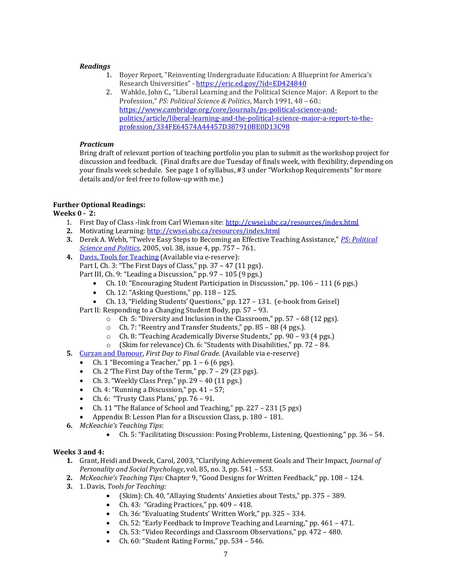### *Readings*

- 1. Boyer Report, "Reinventing Undergraduate Education: A Blueprint for America's Research Universities" - <https://eric.ed.gov/?id=ED424840>
- 2. Wahkle, John C., "Liberal Learning and the Political Science Major: A Report to the Profession," *PS: Political Science & Politics*, March 1991, 48 – 60.: [https://www.cambridge.org/core/journals/ps-political-science-and](https://www.cambridge.org/core/journals/ps-political-science-and-politics/article/liberal-learning-and-the-political-science-major-a-report-to-the-profession/334FE64574A44457D387910BE0D13C98)[politics/article/liberal-learning-and-the-political-science-major-a-report-to-the](https://www.cambridge.org/core/journals/ps-political-science-and-politics/article/liberal-learning-and-the-political-science-major-a-report-to-the-profession/334FE64574A44457D387910BE0D13C98)[profession/334FE64574A44457D387910BE0D13C98](https://www.cambridge.org/core/journals/ps-political-science-and-politics/article/liberal-learning-and-the-political-science-major-a-report-to-the-profession/334FE64574A44457D387910BE0D13C98)

### *Practicum*

Bring draft of relevant portion of teaching portfolio you plan to submit as the workshop project for discussion and feedback. (Final drafts are due Tuesday of finals week, with flexibility, depending on your finals week schedule. See page 1 of syllabus, #3 under "Workshop Requirements" for more details and/or feel free to follow-up with me.)

# **Further Optional Readings:**

# **Weeks 0 - 2:**

- 1. First Day of Class -link from Carl Wieman site:<http://cwsei.ubc.ca/resources/index.html>
- **2.** Motivating Learning[: http://cwsei.ubc.ca/resources/index.html](http://cwsei.ubc.ca/resources/index.html)
- **3.** Derek A. Webb, "Twelve Easy Steps to Becoming an Effective Teaching Assistance," *[PS: Political](http://journals.cambridge.org/action/displayAbstract?fromPage=online&aid=342337)  [Science and Politics](http://journals.cambridge.org/action/displayAbstract?fromPage=online&aid=342337)*, 2005, vol. 38, issue 4, pp. 757 – 761.
- **4.** [Davis, Tools for Teaching](http://roger.ucsd.edu/record=b6895394) (Available via e-reserve):
	- Part I, Ch. 3: "The First Days of Class," pp. 37 47 (11 pgs).
	- Part III, Ch. 9: "Leading a Discussion," pp. 97 105 (9 pgs.)
		- Ch. 10: "Encouraging Student Participation in Discussion," pp. 106 111 (6 pgs.)
		- Ch. 12: "Asking Questions," pp. 118 125.
		- Ch. 13, "Fielding Students' Questions," pp. 127 131. (e-book from Geisel)
	- Part II: Responding to a Changing Student Body, pp. 57 93.
		- o Ch 5: "Diversity and Inclusion in the Classroom," pp. 57 68 (12 pgs).
		- o Ch. 7: "Reentry and Transfer Students," pp. 85 88 (4 pgs.).
		- o Ch. 8: "Teaching Academically Diverse Students," pp. 90 93 (4 pgs.)
		- o (Skim for relevance) Ch. 6: "Students with Disabilities," pp. 72 84.
- **5.** [Curzan and Damour,](http://libraries.ucsd.edu/resources/course-reserves/index.html) *First Day to Final Grade.* (Available via e-reserve)
	- Ch. 1 "Becoming a Teacher," pp.  $1 6$  (6 pgs).
	- Ch. 2 'The First Day of the Term," pp. 7 29 (23 pgs).
	- Ch. 3. "Weekly Class Prep," pp. 29 40 (11 pgs.)
	- Ch. 4: "Running a Discussion," pp. 41 57;
	- Ch. 6: "Trusty Class Plans,' pp. 76 91.
	- Ch. 11 "The Balance of School and Teaching," pp. 227 231 (5 pgs)
	- Appendix B: Lesson Plan for a Discussion Class, p. 180 181.
- **6.** *McKeachie's Teaching Tips*:
	- Ch. 5: "Facilitating Discussion: Posing Problems, Listening, Questioning," pp. 36 54.

# **Weeks 3 and 4:**

- **1.** Grant, Heidi and Dweck, Carol, 2003, "Clarifying Achievement Goals and Their Impact, *Journal of Personality and Social Psychology*, vol. 85, no. 3, pp. 541 – 553.
- **2.** *McKeachie's Teaching Tips:* Chapter 9, "Good Designs for Written Feedback," pp. 108 124.
- **3.** 1. Davis, *Tools for Teaching:*
	- (Skim): Ch. 40, "Allaying Students' Anxieties about Tests," pp. 375 389.
	- Ch. 43: "Grading Practices," pp. 409 418.
	- Ch. 36: "Evaluating Students' Written Work," pp. 325 334.
	- Ch. 52: "Early Feedback to Improve Teaching and Learning," pp. 461 471.
	- Ch. 53: "Video Recordings and Classroom Observations," pp. 472 480.
	- Ch. 60: "Student Rating Forms," pp. 534 546.